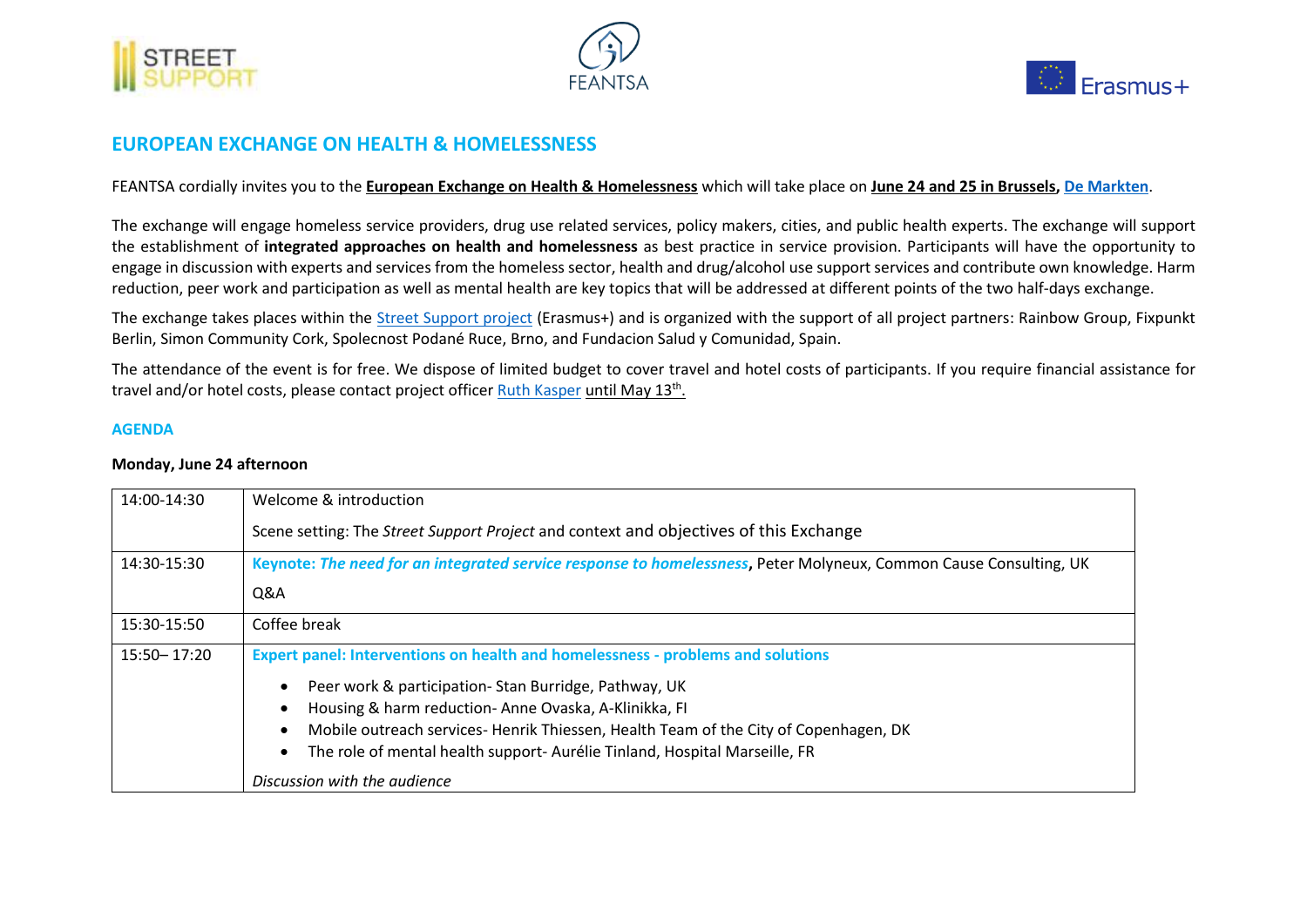





## **EUROPEAN EXCHANGE ON HEALTH & HOMELESSNESS**

FEANTSA cordially invites you to the **European Exchange on Health & Homelessness** which will take place on **June 24 and 25 in Brussels[, De Markten](https://www.google.com/maps/place/De+Markten+Cafe/@50.8506789,4.347088,18.79z/data=!4m5!3m4!1s0x0:0x53f542dccbd413d!8m2!3d50.8504541!4d4.3467599)**.

The exchange will engage homeless service providers, drug use related services, policy makers, cities, and public health experts. The exchange will support the establishment of **integrated approaches on health and homelessness** as best practice in service provision. Participants will have the opportunity to engage in discussion with experts and services from the homeless sector, health and drug/alcohol use support services and contribute own knowledge. Harm reduction, peer work and participation as well as mental health are key topics that will be addressed at different points of the two half-days exchange.

The exchange takes places within the [Street Support project](https://streetsupport.eu/) (Erasmus+) and is organized with the support of all project partners: Rainbow Group, Fixpunkt Berlin, Simon Community Cork, Spolecnost Podané Ruce, Brno, and Fundacion Salud y Comunidad, Spain.

The attendance of the event is for free. We dispose of limited budget to cover travel and hotel costs of participants. If you require financial assistance for travel and/or hotel costs, please contact project officer <u>Ruth Kasper until May 13th.</u>

## **AGENDA**

## **Monday, June 24 afternoon**

| 14:00-14:30     | Welcome & introduction                                                                                            |
|-----------------|-------------------------------------------------------------------------------------------------------------------|
|                 | Scene setting: The Street Support Project and context and objectives of this Exchange                             |
| 14:30-15:30     | Keynote: The need for an integrated service response to homelessness, Peter Molyneux, Common Cause Consulting, UK |
|                 | Q&A                                                                                                               |
| 15:30-15:50     | Coffee break                                                                                                      |
| $15:50 - 17:20$ | <b>Expert panel: Interventions on health and homelessness - problems and solutions</b>                            |
|                 | Peer work & participation-Stan Burridge, Pathway, UK                                                              |
|                 | Housing & harm reduction-Anne Ovaska, A-Klinikka, FI                                                              |
|                 | Mobile outreach services-Henrik Thiessen, Health Team of the City of Copenhagen, DK                               |
|                 | The role of mental health support-Aurélie Tinland, Hospital Marseille, FR                                         |
|                 | Discussion with the audience                                                                                      |